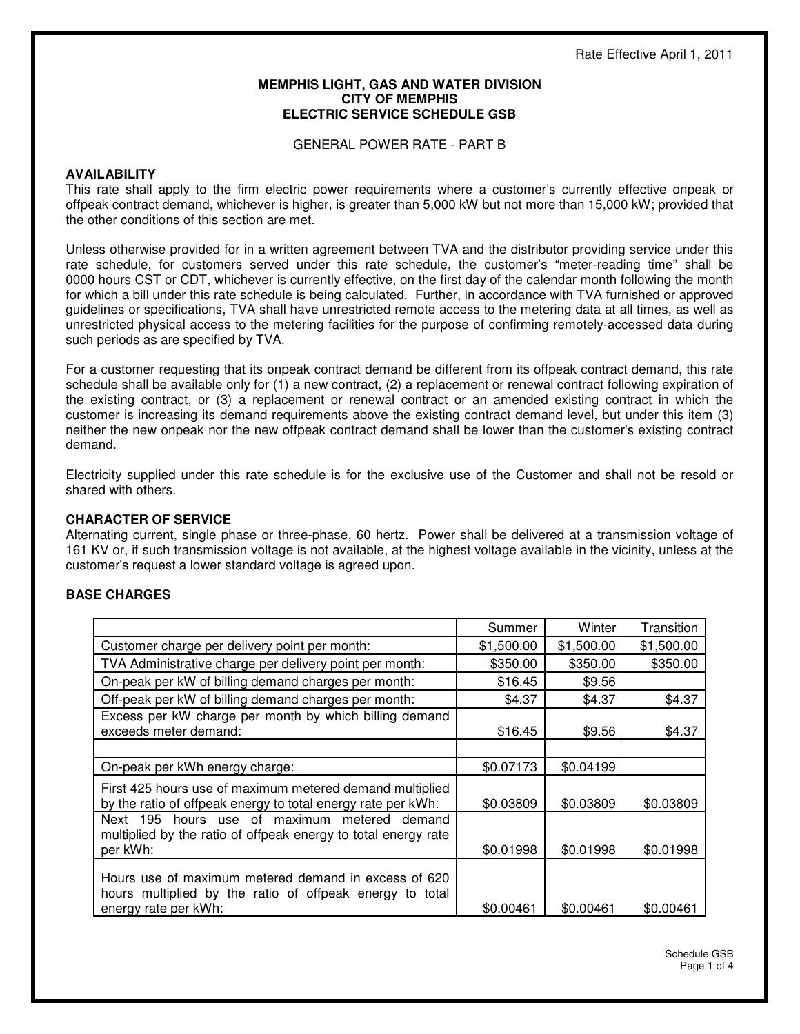#### **MEMPHIS LIGHT, GAS AND WATER DIVISION CITY OF MEMPHIS ELECTRIC SERVICE SCHEDULE GSB**

GENERAL POWER RATE - PART B

#### **AVAILABILITY**

This rate shall apply to the firm electric power requirements where a customer's currently effective onpeak or offpeak contract demand, whichever is higher, is greater than 5,000 kW but not more than 15,000 kW; provided that the other conditions of this section are met.

Unless otherwise provided for in a written agreement between TVA and the distributor providing service under this rate schedule, for customers served under this rate schedule, the customer's "meter-reading time" shall be 0000 hours CST or CDT, whichever is currently effective, on the first day of the calendar month following the month for which a bill under this rate schedule is being calculated. Further, in accordance with TVA furnished or approved guidelines or specifications, TVA shall have unrestricted remote access to the metering data at all times, as well as unrestricted physical access to the metering facilities for the purpose of confirming remotely-accessed data during such periods as are specified by TVA.

For a customer requesting that its onpeak contract demand be different from its offpeak contract demand, this rate schedule shall be available only for (1) a new contract, (2) a replacement or renewal contract following expiration of the existing contract, or (3) a replacement or renewal contract or an amended existing contract in which the customer is increasing its demand requirements above the existing contract demand level, but under this item (3) neither the new onpeak nor the new offpeak contract demand shall be lower than the customer's existing contract demand.

Electricity supplied under this rate schedule is for the exclusive use of the Customer and shall not be resold or shared with others.

## **CHARACTER OF SERVICE**

Alternating current, single phase or three-phase, 60 hertz. Power shall be delivered at a transmission voltage of 161 KV or, if such transmission voltage is not available, at the highest voltage available in the vicinity, unless at the customer's request a lower standard voltage is agreed upon.

# **BASE CHARGES**

|                                                                                                                                          | Summer     | Winter     | Transition |
|------------------------------------------------------------------------------------------------------------------------------------------|------------|------------|------------|
| Customer charge per delivery point per month:                                                                                            | \$1,500.00 | \$1,500.00 | \$1,500.00 |
| TVA Administrative charge per delivery point per month:                                                                                  | \$350.00   | \$350.00   | \$350.00   |
| On-peak per kW of billing demand charges per month:                                                                                      | \$16.45    | \$9.56     |            |
| Off-peak per kW of billing demand charges per month:                                                                                     | \$4.37     | \$4.37     | \$4.37     |
| Excess per kW charge per month by which billing demand<br>exceeds meter demand:                                                          | \$16.45    | \$9.56     | \$4.37     |
|                                                                                                                                          |            |            |            |
| On-peak per kWh energy charge:                                                                                                           | \$0.07173  | \$0.04199  |            |
| First 425 hours use of maximum metered demand multiplied<br>by the ratio of offpeak energy to total energy rate per kWh:                 | \$0.03809  | \$0.03809  | \$0.03809  |
| Next 195 hours use of maximum metered demand<br>multiplied by the ratio of offpeak energy to total energy rate<br>per kWh:               | \$0.01998  | \$0.01998  | \$0.01998  |
| Hours use of maximum metered demand in excess of 620<br>hours multiplied by the ratio of offpeak energy to total<br>energy rate per kWh: | \$0.00461  | \$0.00461  | \$0.00461  |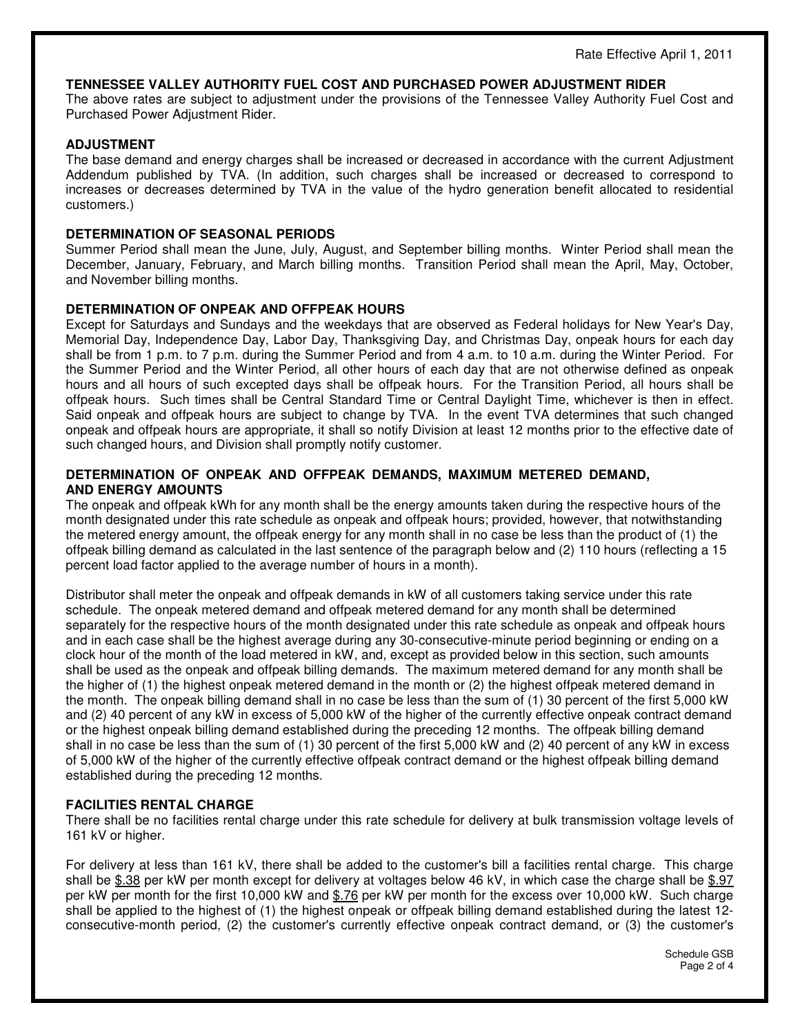#### **TENNESSEE VALLEY AUTHORITY FUEL COST AND PURCHASED POWER ADJUSTMENT RIDER**

The above rates are subject to adjustment under the provisions of the Tennessee Valley Authority Fuel Cost and Purchased Power Adjustment Rider.

## **ADJUSTMENT**

The base demand and energy charges shall be increased or decreased in accordance with the current Adjustment Addendum published by TVA. (In addition, such charges shall be increased or decreased to correspond to increases or decreases determined by TVA in the value of the hydro generation benefit allocated to residential customers.)

## **DETERMINATION OF SEASONAL PERIODS**

Summer Period shall mean the June, July, August, and September billing months. Winter Period shall mean the December, January, February, and March billing months. Transition Period shall mean the April, May, October, and November billing months.

## **DETERMINATION OF ONPEAK AND OFFPEAK HOURS**

Except for Saturdays and Sundays and the weekdays that are observed as Federal holidays for New Year's Day, Memorial Day, Independence Day, Labor Day, Thanksgiving Day, and Christmas Day, onpeak hours for each day shall be from 1 p.m. to 7 p.m. during the Summer Period and from 4 a.m. to 10 a.m. during the Winter Period. For the Summer Period and the Winter Period, all other hours of each day that are not otherwise defined as onpeak hours and all hours of such excepted days shall be offpeak hours. For the Transition Period, all hours shall be offpeak hours. Such times shall be Central Standard Time or Central Daylight Time, whichever is then in effect. Said onpeak and offpeak hours are subject to change by TVA. In the event TVA determines that such changed onpeak and offpeak hours are appropriate, it shall so notify Division at least 12 months prior to the effective date of such changed hours, and Division shall promptly notify customer.

## **DETERMINATION OF ONPEAK AND OFFPEAK DEMANDS, MAXIMUM METERED DEMAND, AND ENERGY AMOUNTS**

The onpeak and offpeak kWh for any month shall be the energy amounts taken during the respective hours of the month designated under this rate schedule as onpeak and offpeak hours; provided, however, that notwithstanding the metered energy amount, the offpeak energy for any month shall in no case be less than the product of (1) the offpeak billing demand as calculated in the last sentence of the paragraph below and (2) 110 hours (reflecting a 15 percent load factor applied to the average number of hours in a month).

Distributor shall meter the onpeak and offpeak demands in kW of all customers taking service under this rate schedule. The onpeak metered demand and offpeak metered demand for any month shall be determined separately for the respective hours of the month designated under this rate schedule as onpeak and offpeak hours and in each case shall be the highest average during any 30-consecutive-minute period beginning or ending on a clock hour of the month of the load metered in kW, and, except as provided below in this section, such amounts shall be used as the onpeak and offpeak billing demands. The maximum metered demand for any month shall be the higher of (1) the highest onpeak metered demand in the month or (2) the highest offpeak metered demand in the month. The onpeak billing demand shall in no case be less than the sum of (1) 30 percent of the first 5,000 kW and (2) 40 percent of any kW in excess of 5,000 kW of the higher of the currently effective onpeak contract demand or the highest onpeak billing demand established during the preceding 12 months. The offpeak billing demand shall in no case be less than the sum of (1) 30 percent of the first 5,000 kW and (2) 40 percent of any kW in excess of 5,000 kW of the higher of the currently effective offpeak contract demand or the highest offpeak billing demand established during the preceding 12 months.

# **FACILITIES RENTAL CHARGE**

There shall be no facilities rental charge under this rate schedule for delivery at bulk transmission voltage levels of 161 kV or higher.

For delivery at less than 161 kV, there shall be added to the customer's bill a facilities rental charge. This charge shall be \$.38 per kW per month except for delivery at voltages below 46 kV, in which case the charge shall be \$.97 per kW per month for the first 10,000 kW and \$.76 per kW per month for the excess over 10,000 kW. Such charge shall be applied to the highest of (1) the highest onpeak or offpeak billing demand established during the latest 12 consecutive-month period, (2) the customer's currently effective onpeak contract demand, or (3) the customer's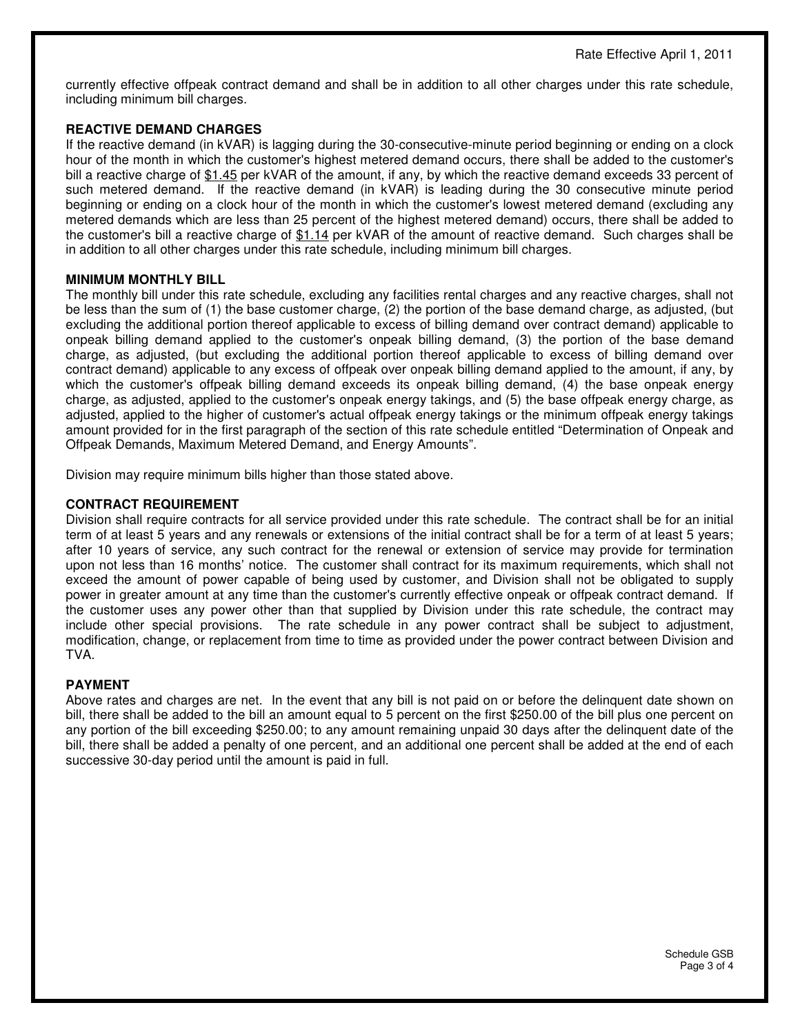currently effective offpeak contract demand and shall be in addition to all other charges under this rate schedule, including minimum bill charges.

# **REACTIVE DEMAND CHARGES**

If the reactive demand (in kVAR) is lagging during the 30-consecutive-minute period beginning or ending on a clock hour of the month in which the customer's highest metered demand occurs, there shall be added to the customer's bill a reactive charge of \$1.45 per kVAR of the amount, if any, by which the reactive demand exceeds 33 percent of such metered demand. If the reactive demand (in kVAR) is leading during the 30 consecutive minute period beginning or ending on a clock hour of the month in which the customer's lowest metered demand (excluding any metered demands which are less than 25 percent of the highest metered demand) occurs, there shall be added to the customer's bill a reactive charge of \$1.14 per kVAR of the amount of reactive demand. Such charges shall be in addition to all other charges under this rate schedule, including minimum bill charges.

## **MINIMUM MONTHLY BILL**

The monthly bill under this rate schedule, excluding any facilities rental charges and any reactive charges, shall not be less than the sum of (1) the base customer charge, (2) the portion of the base demand charge, as adjusted, (but excluding the additional portion thereof applicable to excess of billing demand over contract demand) applicable to onpeak billing demand applied to the customer's onpeak billing demand, (3) the portion of the base demand charge, as adjusted, (but excluding the additional portion thereof applicable to excess of billing demand over contract demand) applicable to any excess of offpeak over onpeak billing demand applied to the amount, if any, by which the customer's offpeak billing demand exceeds its onpeak billing demand, (4) the base onpeak energy charge, as adjusted, applied to the customer's onpeak energy takings, and (5) the base offpeak energy charge, as adjusted, applied to the higher of customer's actual offpeak energy takings or the minimum offpeak energy takings amount provided for in the first paragraph of the section of this rate schedule entitled "Determination of Onpeak and Offpeak Demands, Maximum Metered Demand, and Energy Amounts".

Division may require minimum bills higher than those stated above.

#### **CONTRACT REQUIREMENT**

Division shall require contracts for all service provided under this rate schedule. The contract shall be for an initial term of at least 5 years and any renewals or extensions of the initial contract shall be for a term of at least 5 years; after 10 years of service, any such contract for the renewal or extension of service may provide for termination upon not less than 16 months' notice. The customer shall contract for its maximum requirements, which shall not exceed the amount of power capable of being used by customer, and Division shall not be obligated to supply power in greater amount at any time than the customer's currently effective onpeak or offpeak contract demand. If the customer uses any power other than that supplied by Division under this rate schedule, the contract may include other special provisions. The rate schedule in any power contract shall be subject to adjustment, modification, change, or replacement from time to time as provided under the power contract between Division and TVA.

#### **PAYMENT**

Above rates and charges are net. In the event that any bill is not paid on or before the delinquent date shown on bill, there shall be added to the bill an amount equal to 5 percent on the first \$250.00 of the bill plus one percent on any portion of the bill exceeding \$250.00; to any amount remaining unpaid 30 days after the delinquent date of the bill, there shall be added a penalty of one percent, and an additional one percent shall be added at the end of each successive 30-day period until the amount is paid in full.